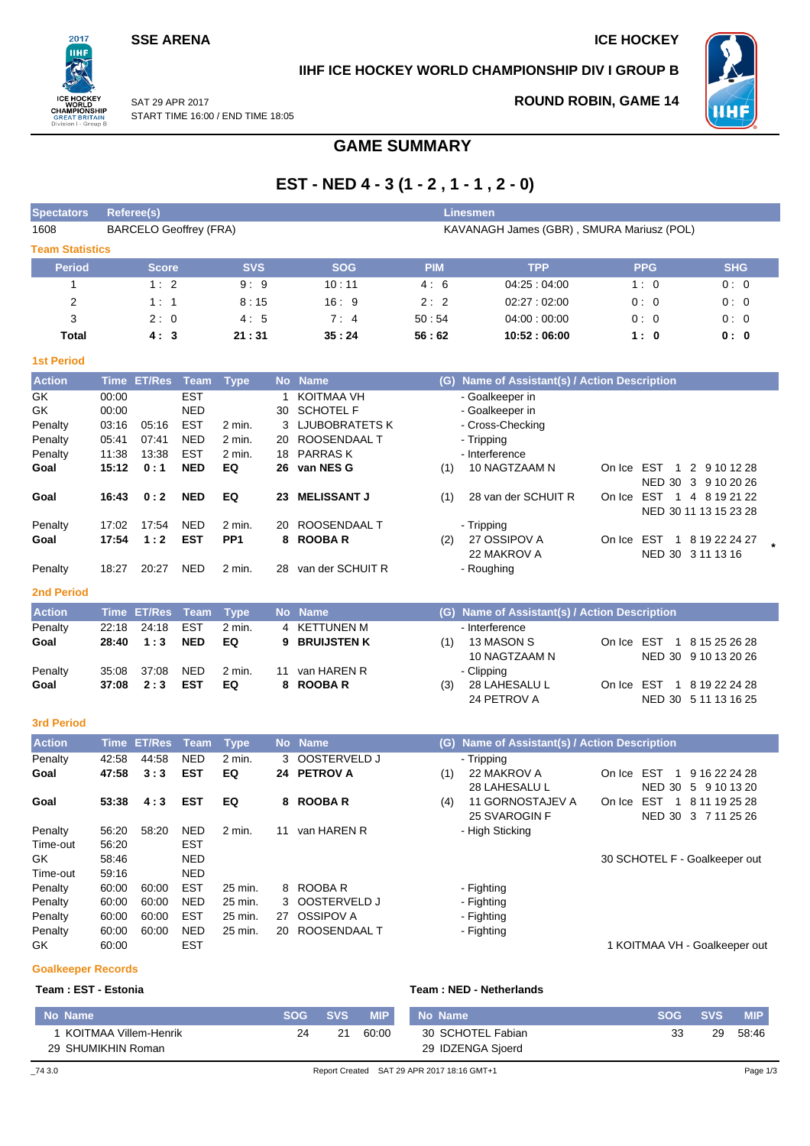## **SSE ARENA ICE HOCKEY**

 $2017$ пні

REAT I n I - Groui

## **IIHF ICE HOCKEY WORLD CHAMPIONSHIP DIV I GROUP B**



SAT 29 APR 2017

## **ROUND ROBIN, GAME 14**

START TIME 16:00 / END TIME 18:05

# **GAME SUMMARY**

# **EST - NED 4 - 3 (1 - 2 , 1 - 1 , 2 - 0)**

| <b>Spectators</b>      |             | Referee(s)                    |             |                 |              |                    |            | <b>Linesmen</b>                               |            |            |                                                  |  |
|------------------------|-------------|-------------------------------|-------------|-----------------|--------------|--------------------|------------|-----------------------------------------------|------------|------------|--------------------------------------------------|--|
| 1608                   |             | <b>BARCELO Geoffrey (FRA)</b> |             |                 |              |                    |            | KAVANAGH James (GBR), SMURA Mariusz (POL)     |            |            |                                                  |  |
| <b>Team Statistics</b> |             |                               |             |                 |              |                    |            |                                               |            |            |                                                  |  |
| <b>Period</b>          |             | <b>Score</b>                  |             | <b>SVS</b>      |              | <b>SOG</b>         | <b>PIM</b> | <b>TPP</b>                                    |            | <b>PPG</b> | <b>SHG</b>                                       |  |
| 1                      |             | 1:2                           |             | 9:9             |              | 10:11              | 4:6        | 04:25:04:00                                   |            | 1:0        | 0:0                                              |  |
| $\overline{2}$         |             | 1:1                           |             | 8:15            |              | 16:9               | 2:2        | 02:27:02:00                                   |            | 0:0        | 0:0                                              |  |
| 3                      |             | 2:0                           |             | 4:5             |              | 7:4                | 50:54      | 04:00:00:00                                   |            | 0:0        | 0:0                                              |  |
| <b>Total</b>           |             | 4:3                           |             | 21:31           |              | 35:24              | 56:62      | 10:52:06:00                                   |            | 1:0        | 0:0                                              |  |
| <b>1st Period</b>      |             |                               |             |                 |              |                    |            |                                               |            |            |                                                  |  |
| <b>Action</b>          |             | Time ET/Res                   | <b>Team</b> | <b>Type</b>     | <b>No</b>    | <b>Name</b>        |            | (G) Name of Assistant(s) / Action Description |            |            |                                                  |  |
| GK                     | 00:00       |                               | <b>EST</b>  |                 | $\mathbf{1}$ | <b>KOITMAA VH</b>  |            | - Goalkeeper in                               |            |            |                                                  |  |
| GK                     | 00:00       |                               | <b>NED</b>  |                 | 30           | <b>SCHOTEL F</b>   |            | - Goalkeeper in                               |            |            |                                                  |  |
| Penalty                | 03:16       | 05:16                         | <b>EST</b>  | 2 min.          |              | 3 LJUBOBRATETS K   |            | - Cross-Checking                              |            |            |                                                  |  |
| Penalty                | 05:41       | 07:41                         | <b>NED</b>  | 2 min.          |              | 20 ROOSENDAAL T    |            | - Tripping                                    |            |            |                                                  |  |
| Penalty                | 11:38       | 13:38                         | <b>EST</b>  | 2 min.          | 18           | <b>PARRASK</b>     |            | - Interference                                |            |            |                                                  |  |
| Goal                   | 15:12       | 0:1                           | <b>NED</b>  | EQ              |              | 26 van NES G       | (1)        | 10 NAGTZAAM N                                 |            |            | On Ice EST 1 2 9 10 12 28<br>NED 30 3 9 10 20 26 |  |
| Goal                   | 16:43       | 0:2                           | <b>NED</b>  | EQ              | 23           | <b>MELISSANT J</b> | (1)        | 28 van der SCHUIT R                           |            |            | On Ice EST 1 4 8 19 21 22                        |  |
|                        |             |                               |             |                 |              |                    |            |                                               |            |            | NED 30 11 13 15 23 28                            |  |
| Penalty                | 17:02       | 17:54                         | <b>NED</b>  | $2$ min.        | 20           | ROOSENDAAL T       |            | - Tripping                                    |            |            |                                                  |  |
| Goal                   | 17:54       | 1:2                           | <b>EST</b>  | PP <sub>1</sub> |              | 8 ROOBAR           | (2)        | 27 OSSIPOV A                                  |            |            | On Ice EST 1 8 19 22 24 27                       |  |
|                        |             |                               |             |                 |              |                    |            | 22 MAKROV A                                   |            |            | NED 30 3 11 13 16                                |  |
| Penalty                | 18:27       | 20:27                         | <b>NED</b>  | 2 min.          | 28           | van der SCHUIT R   |            | - Roughing                                    |            |            |                                                  |  |
| <b>2nd Period</b>      |             |                               |             |                 |              |                    |            |                                               |            |            |                                                  |  |
| <b>Action</b>          |             | <b>Time ET/Res</b>            | <b>Team</b> | <b>Type</b>     |              | No Name            |            | (G) Name of Assistant(s) / Action Description |            |            |                                                  |  |
| Penalty                | 22:18       | 24:18                         | <b>EST</b>  | 2 min.          | 4            | <b>KETTUNEN M</b>  |            | - Interference                                |            |            |                                                  |  |
| Goal                   | 28:40       | 1:3                           | <b>NED</b>  | EQ              | 9            | <b>BRUIJSTEN K</b> | (1)        | 13 MASON S                                    | On Ice EST |            | 1 8 15 25 26 28                                  |  |
|                        |             |                               |             |                 |              |                    |            | 10 NAGTZAAM N                                 |            |            | NED 30 9 10 13 20 26                             |  |
| Penalty                | 35:08       | 37:08                         | <b>NED</b>  | 2 min.          | 11           | van HAREN R        |            | - Clipping                                    |            |            |                                                  |  |
| Goal                   | 37:08       | 2:3                           | <b>EST</b>  | EQ              |              | 8 ROOBAR           | (3)        | 28 LAHESALU L                                 | On Ice EST |            | 1 8 19 22 24 28                                  |  |
|                        |             |                               |             |                 |              |                    |            | 24 PETROV A                                   |            |            | NED 30 5 11 13 16 25                             |  |
| <b>3rd Period</b>      |             |                               |             |                 |              |                    |            |                                               |            |            |                                                  |  |
| <b>Action</b>          | <b>Time</b> | <b>ET/Res</b>                 | <b>Team</b> | <b>Type</b>     | <b>No</b>    | <b>Name</b>        |            | (G) Name of Assistant(s) / Action Description |            |            |                                                  |  |
| Penalty                | 42:58       | 44:58                         | <b>NED</b>  | 2 min.          | 3            | OOSTERVELD J       |            | - Tripping                                    |            |            |                                                  |  |
| Goal                   | 47:58       | 3:3                           | <b>EST</b>  | EQ              |              | 24 PETROV A        | (1)        | 22 MAKROV A                                   | On Ice EST |            | 1 9 16 22 24 28                                  |  |
|                        |             |                               |             |                 |              |                    |            | 28 LAHESALU L                                 |            |            | NED 30 5 9 10 13 20                              |  |
| Goal                   | 53:38       | 4:3                           | <b>EST</b>  | EQ              | 8            | <b>ROOBAR</b>      | (4)        | 11 GORNOSTAJEV A                              |            |            | On Ice EST 1 8 11 19 25 28                       |  |
|                        |             |                               |             |                 |              |                    |            | 25 SVAROGIN F                                 |            |            | NED 30 3 7 11 25 26                              |  |
| Penalty                | 56:20       | 58:20                         | <b>NED</b>  | 2 min.          |              | 11 van HAREN R     |            | - High Sticking                               |            |            |                                                  |  |
| Time-out               | 56:20       |                               | <b>EST</b>  |                 |              |                    |            |                                               |            |            |                                                  |  |
| GK.                    | 58:46       |                               | <b>NED</b>  |                 |              |                    |            |                                               |            |            | 30 SCHOTEL F - Goalkeeper out                    |  |
| Time-out               | 59:16       |                               | <b>NED</b>  |                 |              |                    |            |                                               |            |            |                                                  |  |

Penalty 60:00 60:00 EST 25 min. 8 ROOBA R - Fighting Penalty 60:00 60:00 NED 25 min. 3 OOSTERVELD J - Fighting Penalty 60:00 60:00 NED 25 min. 8 SOSTETWEED'S<br>Penalty 60:00 60:00 EST 25 min. 27 OSSIPOV A - Fighting<br>Penalty 60:00 60:00 NED 25 min. 20 ROOSENDAAL T - Fighting Penalty 60:00 60:00 NED 25 min. 20 ROOSENDAAL T

**Goalkeeper Records**

### **Team : EST - Estonia Team : NED - Netherlands**

| No Name                                     | <b>SOG</b> | <b>SVS</b> | <b>MIP</b> | No Name                                    | <b>SOG</b> | <b>SVS</b> | <b>MIP</b> |
|---------------------------------------------|------------|------------|------------|--------------------------------------------|------------|------------|------------|
| KOITMAA Villem-Henrik<br>29 SHUMIKHIN Roman | 24         | 21         | 60:00      | 30 SCHOTEL Fabian<br>29 IDZENGA Sjoerd     | 33         | 29         | 58:46      |
| 74 3.0                                      |            |            |            | Report Created SAT 29 APR 2017 18:16 GMT+1 |            |            | Page 1/3   |

GK 60:00 EST 60:00 EST 60:00 EST EXAMPLE 20 A LOT MAA VH - Goalkeeper out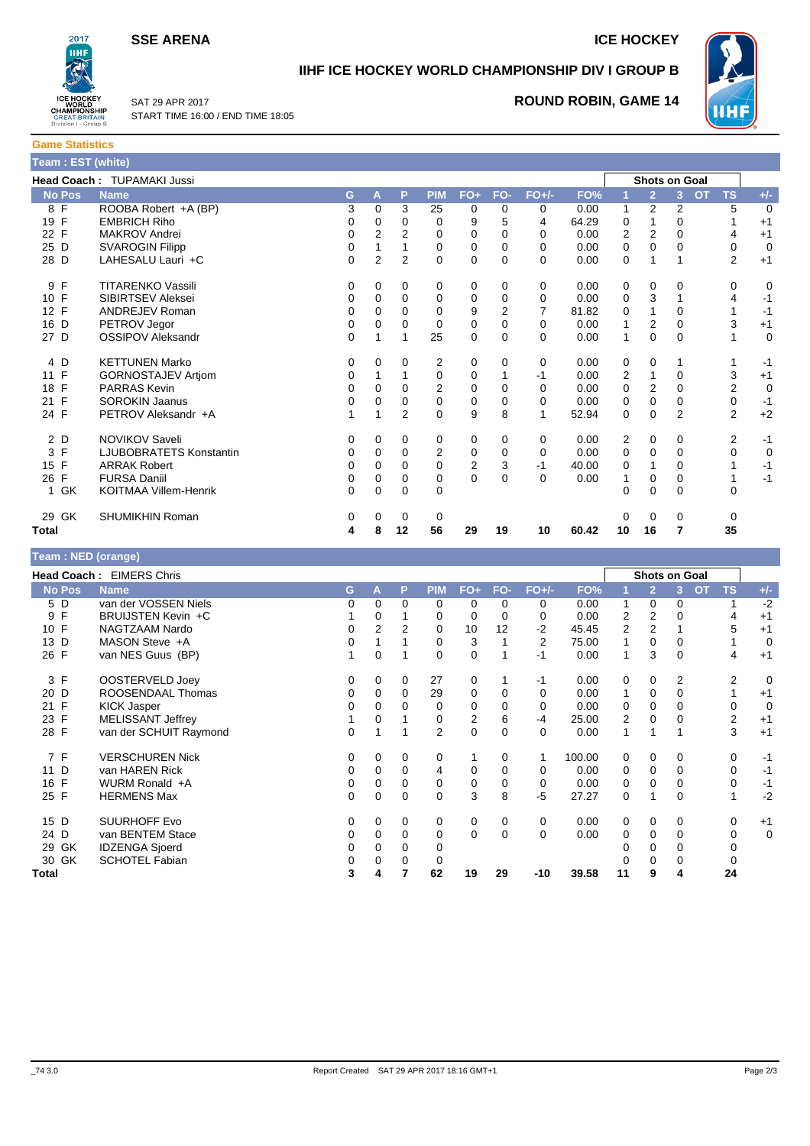**SSE ARENA ICE HOCKEY** 



**IIHF ICE HOCKEY WORLD CHAMPIONSHIP DIV I GROUP B**



SAT 29 APR 2017 START TIME 16:00 / END TIME 18:05

# **ROUND ROBIN, GAME 14**

| <b>Game Statistics</b> |                    |  |
|------------------------|--------------------|--|
|                        | Team : EST (white) |  |

|                    | <b>Head Coach: TUPAMAKI Jussi</b> |          |          |                |                |                |          |          |       |                         | <b>Shots on Goal</b> |                |                             |             |
|--------------------|-----------------------------------|----------|----------|----------------|----------------|----------------|----------|----------|-------|-------------------------|----------------------|----------------|-----------------------------|-------------|
| <b>No Pos</b>      | <b>Name</b>                       | G.       | A        | P              | <b>PIM</b>     | $FO+$          | FO-      | $FO+/-$  | FO%   |                         | $\overline{2}$       | 3              | <b>TS</b><br>$\overline{O}$ | $+/-$       |
| 8 F                | ROOBA Robert +A (BP)              | 3        | $\Omega$ | 3              | 25             | 0              | 0        | 0        | 0.00  |                         | 2                    | 2              | 5                           | $\mathbf 0$ |
| 19 F               | <b>EMBRICH Riho</b>               | 0        | 0        | 0              | 0              | 9              | 5        | 4        | 64.29 | 0                       |                      | 0              |                             | $+1$        |
| 22 F               | <b>MAKROV Andrei</b>              | 0        | 2        | 2              | 0              | 0              | 0        | 0        | 0.00  | $\overline{\mathbf{c}}$ | 2                    | $\Omega$       | 4                           | $+1$        |
| 25 D               | <b>SVAROGIN Filipp</b>            | 0        |          |                | $\Omega$       | 0              | 0        | $\Omega$ | 0.00  | 0                       | $\Omega$             | $\Omega$       | 0                           | $\mathbf 0$ |
| 28 D               | LAHESALU Lauri +C                 | $\Omega$ | 2        | $\overline{2}$ | 0              | 0              | 0        | $\Omega$ | 0.00  | 0                       |                      |                | 2                           | $+1$        |
| $\mathsf{F}$<br>9  | <b>TITARENKO Vassili</b>          | 0        | 0        | 0              | 0              | 0              | 0        | 0        | 0.00  | 0                       | 0                    | 0              | 0                           | 0           |
| 10 F               | <b>SIBIRTSEV Aleksei</b>          | 0        | 0        | 0              | 0              | 0              | 0        | 0        | 0.00  | $\mathbf 0$             | 3                    |                | 4                           | $-1$        |
| 12 F               | <b>ANDREJEV Roman</b>             | 0        | $\Omega$ | $\Omega$       | 0              | 9              | 2        |          | 81.82 | 0                       |                      | 0              |                             | $-1$        |
| 16<br>D            | PETROV Jegor                      | 0        | 0        | 0              | 0              | 0              | 0        | 0        | 0.00  |                         | 2                    | 0              | 3                           | $+1$        |
| 27 D               | <b>OSSIPOV Aleksandr</b>          | 0        |          | 1              | 25             | 0              | 0        | $\Omega$ | 0.00  | $\mathbf{1}$            | 0                    | $\mathbf 0$    |                             | $\mathbf 0$ |
| 4 D                | <b>KETTUNEN Marko</b>             | 0        | 0        | 0              | 2              | 0              | 0        | 0        | 0.00  | 0                       | 0                    | 1              |                             | $-1$        |
| 11 F               | <b>GORNOSTAJEV Artjom</b>         | 0        |          | 1              | 0              | 0              |          | $-1$     | 0.00  | 2                       |                      | 0              | 3                           | $+1$        |
| $\mathsf{F}$<br>18 | <b>PARRAS Kevin</b>               | 0        | 0        | $\Omega$       | $\overline{2}$ | 0              | 0        | $\Omega$ | 0.00  | 0                       | 2                    | $\Omega$       | 2                           | $\mathbf 0$ |
| $\mathsf{F}$<br>21 | <b>SOROKIN Jaanus</b>             | 0        | 0        | 0              | 0              | 0              | 0        | $\Omega$ | 0.00  | 0                       | 0                    | 0              | $\mathbf 0$                 | $-1$        |
| 24 F               | PETROV Aleksandr +A               |          |          | $\overline{2}$ | $\Omega$       | 9              | 8        |          | 52.94 | $\Omega$                | $\Omega$             | $\overline{2}$ | $\overline{2}$              | $+2$        |
| 2 D                | NOVIKOV Saveli                    | 0        | $\Omega$ | 0              | 0              | 0              | $\Omega$ | 0        | 0.00  | 2                       | 0                    | 0              | 2                           | $-1$        |
| 3 F                | <b>LJUBOBRATETS Konstantin</b>    | 0        | 0        | $\mathbf 0$    | $\overline{2}$ | 0              | 0        | 0        | 0.00  | 0                       | 0                    | $\mathbf 0$    | 0                           | $\mathbf 0$ |
| 15 F               | <b>ARRAK Robert</b>               | 0        | 0        | $\Omega$       | 0              | $\overline{c}$ | 3        | $-1$     | 40.00 | 0                       |                      | $\Omega$       |                             | $-1$        |
| $\mathsf{F}$<br>26 | <b>FURSA Daniil</b>               | 0        | 0        | 0              | 0              | $\mathbf 0$    | 0        | 0        | 0.00  |                         | 0                    | 0              |                             | $-1$        |
| 1 GK               | KOITMAA Villem-Henrik             | 0        | $\Omega$ | $\mathbf 0$    | $\Omega$       |                |          |          |       | $\Omega$                | 0                    | $\Omega$       | $\Omega$                    |             |
| 29 GK              | <b>SHUMIKHIN Roman</b>            | 0        | 0        | 0              | 0              |                |          |          |       | 0                       | 0                    | 0              | 0                           |             |
| <b>Total</b>       |                                   | 4        | 8        | 12             | 56             | 29             | 19       | 10       | 60.42 | 10                      | 16                   | 7              | 35                          |             |

### **Team : NED (orange)**

| $194111111129$ (9141199) |                          |    |          |             |                |          |          |             |        |                |                      |    |                 |             |
|--------------------------|--------------------------|----|----------|-------------|----------------|----------|----------|-------------|--------|----------------|----------------------|----|-----------------|-------------|
|                          | Head Coach: EIMERS Chris |    |          |             |                |          |          |             |        |                | <b>Shots on Goal</b> |    |                 |             |
| <b>No Pos</b>            | <b>Name</b>              | G. | A        | P           | <b>PIM</b>     | $FO+$    | FO-      | $FO+/-$     | FO%    |                | $\overline{2}$       | ß. | <b>TS</b><br>OT | $+/-$       |
| 5 D                      | van der VOSSEN Niels     | 0  | $\Omega$ | $\Omega$    | $\Omega$       | 0        | 0        | 0           | 0.00   | 1              | 0                    | 0  |                 | $-2$        |
| F<br>9                   | BRUIJSTEN Kevin +C       |    | 0        |             | 0              | 0        | 0        | 0           | 0.00   | 2              | 2                    | 0  | 4               | $+1$        |
| F<br>10 <sup>°</sup>     | NAGTZAAM Nardo           | 0  | 2        | 2           | $\Omega$       | 10       | 12       | $-2$        | 45.45  | $\overline{2}$ | 2                    |    | 5               | $+1$        |
| D<br>13                  | MASON Steve +A           | 0  |          |             | 0              | 3        |          | 2           | 75.00  |                | 0                    | 0  |                 | 0           |
| F<br>26                  | van NES Guus (BP)        |    | $\Omega$ |             | $\Omega$       | 0        |          | $-1$        | 0.00   | 1              | 3                    | 0  | 4               | $+1$        |
| 3 F                      | OOSTERVELD Joey          | 0  | 0        | $\Omega$    | 27             | 0        |          | $-1$        | 0.00   | 0              | 0                    | 2  | 2               | $\mathbf 0$ |
| 20 D                     | ROOSENDAAL Thomas        | 0  | 0        | 0           | 29             | 0        | 0        | $\Omega$    | 0.00   | 1              | 0                    | 0  |                 | $+1$        |
| F<br>21                  | <b>KICK Jasper</b>       | 0  | $\Omega$ | 0           | $\Omega$       | $\Omega$ | $\Omega$ | $\Omega$    | 0.00   | $\Omega$       | $\Omega$             | 0  | 0               | $\mathbf 0$ |
| 23 F                     | <b>MELISSANT Jeffrey</b> |    | $\Omega$ |             | 0              | 2        | 6        | -4          | 25.00  | 2              | 0                    | 0  | 2               | $+1$        |
| 28 F                     | van der SCHUIT Raymond   | 0  |          |             | $\overline{2}$ | 0        | 0        | $\Omega$    | 0.00   | 1              |                      |    | 3               | $+1$        |
| 7 F                      | <b>VERSCHUREN Nick</b>   | 0  | $\Omega$ | 0           | 0              |          | 0        |             | 100.00 | 0              | 0                    | 0  | 0               | $-1$        |
| 11 D                     | van HAREN Rick           | 0  | $\Omega$ | $\Omega$    | 4              | 0        | 0        | $\Omega$    | 0.00   | 0              | 0                    | 0  | 0               | $-1$        |
| F<br>16                  | WURM Ronald +A           | 0  | $\Omega$ | $\Omega$    | 0              | 0        | 0        | $\mathbf 0$ | 0.00   | 0              | 0                    | 0  | 0               | $-1$        |
| 25 F                     | <b>HERMENS Max</b>       | 0  | 0        | $\Omega$    | $\Omega$       | 3        | 8        | $-5$        | 27.27  | 0              |                      | 0  |                 | $-2$        |
| 15 D                     | <b>SUURHOFF Evo</b>      | 0  | $\Omega$ | $\Omega$    | 0              | 0        | 0        | 0           | 0.00   | 0              | 0                    | 0  | 0               | $+1$        |
| 24 D                     | van BENTEM Stace         | 0  | $\Omega$ | $\mathbf 0$ | 0              | 0        | $\Omega$ | $\Omega$    | 0.00   | 0              | 0                    | 0  | 0               | 0           |
| GK<br>29                 | <b>IDZENGA Sjoerd</b>    | 0  | 0        | $\Omega$    | 0              |          |          |             |        |                | $\Omega$             | 0  |                 |             |
| 30 GK                    | <b>SCHOTEL Fabian</b>    | 0  | 0        | $\Omega$    | 0              |          |          |             |        |                | $\Omega$             | 0  |                 |             |
| Total                    |                          | 3  | 4        |             | 62             | 19       | 29       | $-10$       | 39.58  | 11             | 9                    | 4  | 24              |             |